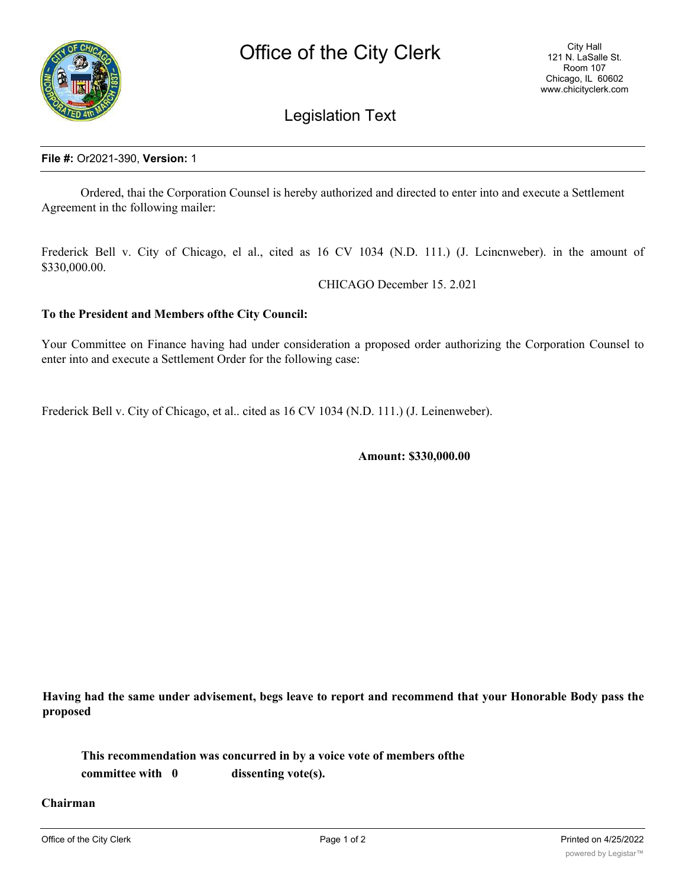

## Legislation Text

## **File #:** Or2021-390, **Version:** 1

Ordered, thai the Corporation Counsel is hereby authorized and directed to enter into and execute a Settlement Agreement in thc following mailer:

Frederick Bell v. City of Chicago, el al., cited as 16 CV 1034 (N.D. 111.) (J. Lcincnweber). in the amount of \$330,000.00.

CHICAGO December 15. 2.021

## **To the President and Members ofthe City Council:**

Your Committee on Finance having had under consideration a proposed order authorizing the Corporation Counsel to enter into and execute a Settlement Order for the following case:

Frederick Bell v. City of Chicago, et al.. cited as 16 CV 1034 (N.D. 111.) (J. Leinenweber).

**Amount: \$330,000.00**

Having had the same under advisement, begs leave to report and recommend that your Honorable Body pass the **proposed**

**This recommendation was concurred in by a voice vote of members ofthe committee with 0 dissenting vote(s).**

**Chairman**